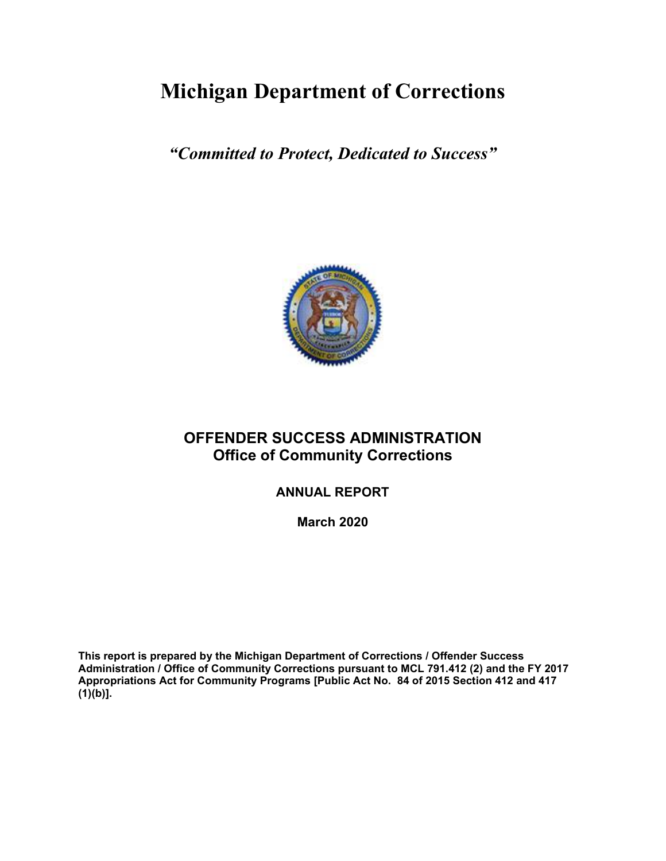# **Michigan Department of Corrections**

*"Committed to Protect, Dedicated to Success"*



# **OFFENDER SUCCESS ADMINISTRATION Office of Community Corrections**

**ANNUAL REPORT**

**March 2020**

**This report is prepared by the Michigan Department of Corrections / Offender Success Administration / Office of Community Corrections pursuant to MCL 791.412 (2) and the FY 2017 Appropriations Act for Community Programs [Public Act No. 84 of 2015 Section 412 and 417 (1)(b)].**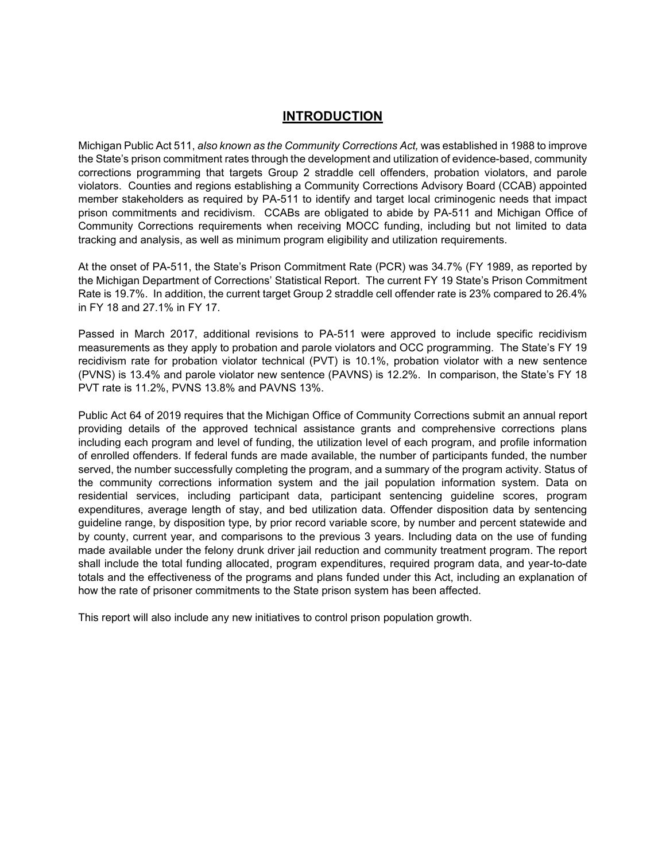# **INTRODUCTION**

Michigan Public Act 511, *also known as the Community Corrections Act,* was established in 1988 to improve the State's prison commitment rates through the development and utilization of evidence-based, community corrections programming that targets Group 2 straddle cell offenders, probation violators, and parole violators. Counties and regions establishing a Community Corrections Advisory Board (CCAB) appointed member stakeholders as required by PA-511 to identify and target local criminogenic needs that impact prison commitments and recidivism. CCABs are obligated to abide by PA-511 and Michigan Office of Community Corrections requirements when receiving MOCC funding, including but not limited to data tracking and analysis, as well as minimum program eligibility and utilization requirements.

At the onset of PA-511, the State's Prison Commitment Rate (PCR) was 34.7% (FY 1989, as reported by the Michigan Department of Corrections' Statistical Report. The current FY 19 State's Prison Commitment Rate is 19.7%. In addition, the current target Group 2 straddle cell offender rate is 23% compared to 26.4% in FY 18 and 27.1% in FY 17.

Passed in March 2017, additional revisions to PA-511 were approved to include specific recidivism measurements as they apply to probation and parole violators and OCC programming. The State's FY 19 recidivism rate for probation violator technical (PVT) is 10.1%, probation violator with a new sentence (PVNS) is 13.4% and parole violator new sentence (PAVNS) is 12.2%. In comparison, the State's FY 18 PVT rate is 11.2%, PVNS 13.8% and PAVNS 13%.

Public Act 64 of 2019 requires that the Michigan Office of Community Corrections submit an annual report providing details of the approved technical assistance grants and comprehensive corrections plans including each program and level of funding, the utilization level of each program, and profile information of enrolled offenders. If federal funds are made available, the number of participants funded, the number served, the number successfully completing the program, and a summary of the program activity. Status of the community corrections information system and the jail population information system. Data on residential services, including participant data, participant sentencing guideline scores, program expenditures, average length of stay, and bed utilization data. Offender disposition data by sentencing guideline range, by disposition type, by prior record variable score, by number and percent statewide and by county, current year, and comparisons to the previous 3 years. Including data on the use of funding made available under the felony drunk driver jail reduction and community treatment program. The report shall include the total funding allocated, program expenditures, required program data, and year-to-date totals and the effectiveness of the programs and plans funded under this Act, including an explanation of how the rate of prisoner commitments to the State prison system has been affected.

This report will also include any new initiatives to control prison population growth.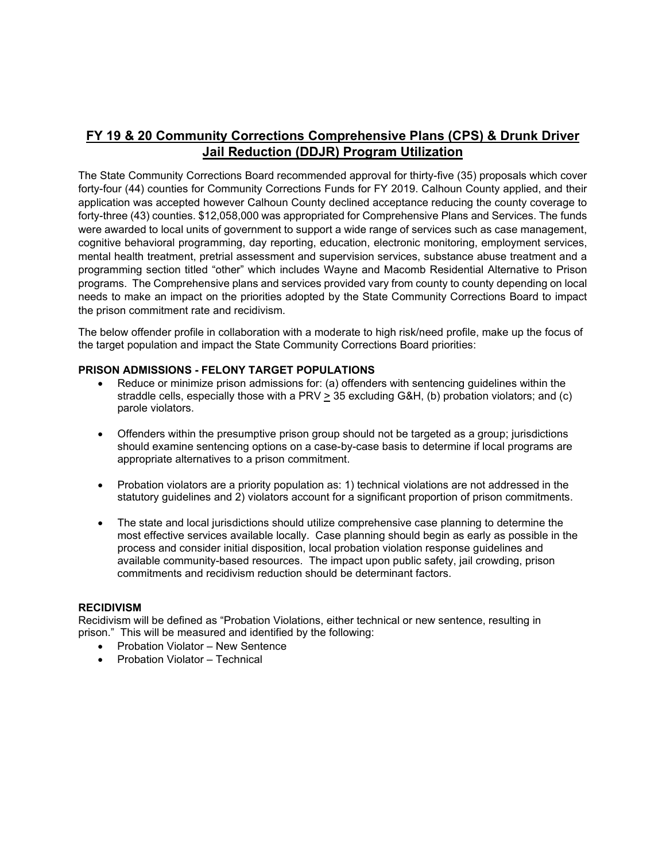# **FY 19 & 20 Community Corrections Comprehensive Plans (CPS) & Drunk Driver Jail Reduction (DDJR) Program Utilization**

The State Community Corrections Board recommended approval for thirty-five (35) proposals which cover forty-four (44) counties for Community Corrections Funds for FY 2019. Calhoun County applied, and their application was accepted however Calhoun County declined acceptance reducing the county coverage to forty-three (43) counties. \$12,058,000 was appropriated for Comprehensive Plans and Services. The funds were awarded to local units of government to support a wide range of services such as case management, cognitive behavioral programming, day reporting, education, electronic monitoring, employment services, mental health treatment, pretrial assessment and supervision services, substance abuse treatment and a programming section titled "other" which includes Wayne and Macomb Residential Alternative to Prison programs. The Comprehensive plans and services provided vary from county to county depending on local needs to make an impact on the priorities adopted by the State Community Corrections Board to impact the prison commitment rate and recidivism.

The below offender profile in collaboration with a moderate to high risk/need profile, make up the focus of the target population and impact the State Community Corrections Board priorities:

#### **PRISON ADMISSIONS - FELONY TARGET POPULATIONS**

- Reduce or minimize prison admissions for: (a) offenders with sentencing guidelines within the straddle cells, especially those with a PRV > 35 excluding G&H, (b) probation violators; and (c) parole violators.
- Offenders within the presumptive prison group should not be targeted as a group; jurisdictions should examine sentencing options on a case-by-case basis to determine if local programs are appropriate alternatives to a prison commitment.
- Probation violators are a priority population as: 1) technical violations are not addressed in the statutory guidelines and 2) violators account for a significant proportion of prison commitments.
- The state and local jurisdictions should utilize comprehensive case planning to determine the most effective services available locally. Case planning should begin as early as possible in the process and consider initial disposition, local probation violation response guidelines and available community-based resources. The impact upon public safety, jail crowding, prison commitments and recidivism reduction should be determinant factors.

#### **RECIDIVISM**

Recidivism will be defined as "Probation Violations, either technical or new sentence, resulting in prison." This will be measured and identified by the following:

- Probation Violator New Sentence
- Probation Violator Technical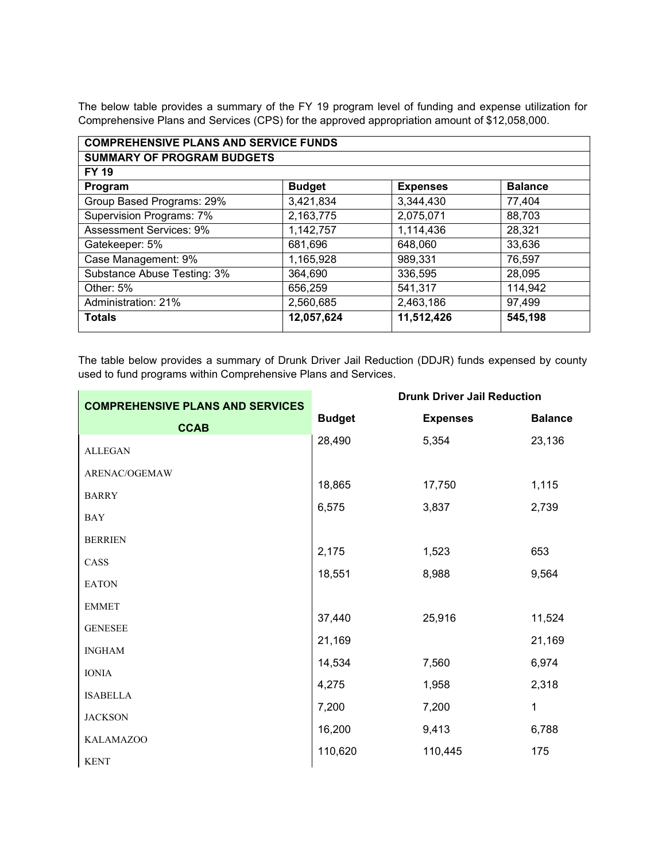The below table provides a summary of the FY 19 program level of funding and expense utilization for Comprehensive Plans and Services (CPS) for the approved appropriation amount of \$12,058,000.

| <b>COMPREHENSIVE PLANS AND SERVICE FUNDS</b> |               |                 |                |
|----------------------------------------------|---------------|-----------------|----------------|
| <b>SUMMARY OF PROGRAM BUDGETS</b>            |               |                 |                |
| <b>FY 19</b>                                 |               |                 |                |
| Program                                      | <b>Budget</b> | <b>Expenses</b> | <b>Balance</b> |
| Group Based Programs: 29%                    | 3,421,834     | 3,344,430       | 77,404         |
| Supervision Programs: 7%                     | 2,163,775     | 2,075,071       | 88,703         |
| <b>Assessment Services: 9%</b>               | 1,142,757     | 1,114,436       | 28,321         |
| Gatekeeper: 5%                               | 681,696       | 648,060         | 33,636         |
| Case Management: 9%                          | 1,165,928     | 989,331         | 76,597         |
| Substance Abuse Testing: 3%                  | 364,690       | 336,595         | 28,095         |
| Other: 5%                                    | 656,259       | 541,317         | 114,942        |
| Administration: 21%                          | 2,560,685     | 2,463,186       | 97,499         |
| <b>Totals</b>                                | 12,057,624    | 11,512,426      | 545,198        |

The table below provides a summary of Drunk Driver Jail Reduction (DDJR) funds expensed by county used to fund programs within Comprehensive Plans and Services.

J.

| <b>COMPREHENSIVE PLANS AND SERVICES</b> | <b>Drunk Driver Jail Reduction</b> |                 |                |  |  |  |  |  |
|-----------------------------------------|------------------------------------|-----------------|----------------|--|--|--|--|--|
| <b>CCAB</b>                             | <b>Budget</b>                      | <b>Expenses</b> | <b>Balance</b> |  |  |  |  |  |
| <b>ALLEGAN</b>                          | 28,490                             | 5,354           | 23,136         |  |  |  |  |  |
| ARENAC/OGEMAW                           | 18,865                             | 17,750          | 1,115          |  |  |  |  |  |
| <b>BARRY</b>                            | 6,575                              | 3,837           | 2,739          |  |  |  |  |  |
| <b>BAY</b>                              |                                    |                 |                |  |  |  |  |  |
| <b>BERRIEN</b>                          |                                    |                 |                |  |  |  |  |  |
| CASS                                    | 2,175                              | 1,523           | 653            |  |  |  |  |  |
| <b>EATON</b>                            | 18,551                             | 8,988           | 9,564          |  |  |  |  |  |
| <b>EMMET</b>                            |                                    |                 |                |  |  |  |  |  |
| <b>GENESEE</b>                          | 37,440                             | 25,916          | 11,524         |  |  |  |  |  |
| <b>INGHAM</b>                           | 21,169                             |                 | 21,169         |  |  |  |  |  |
| <b>IONIA</b>                            | 14,534                             | 7,560           | 6,974          |  |  |  |  |  |
| <b>ISABELLA</b>                         | 4,275                              | 1,958           | 2,318          |  |  |  |  |  |
| <b>JACKSON</b>                          | 7,200                              | 7,200           | 1              |  |  |  |  |  |
| <b>KALAMAZOO</b>                        | 16,200                             | 9,413           | 6,788          |  |  |  |  |  |
| <b>KENT</b>                             | 110,620                            | 110,445         | 175            |  |  |  |  |  |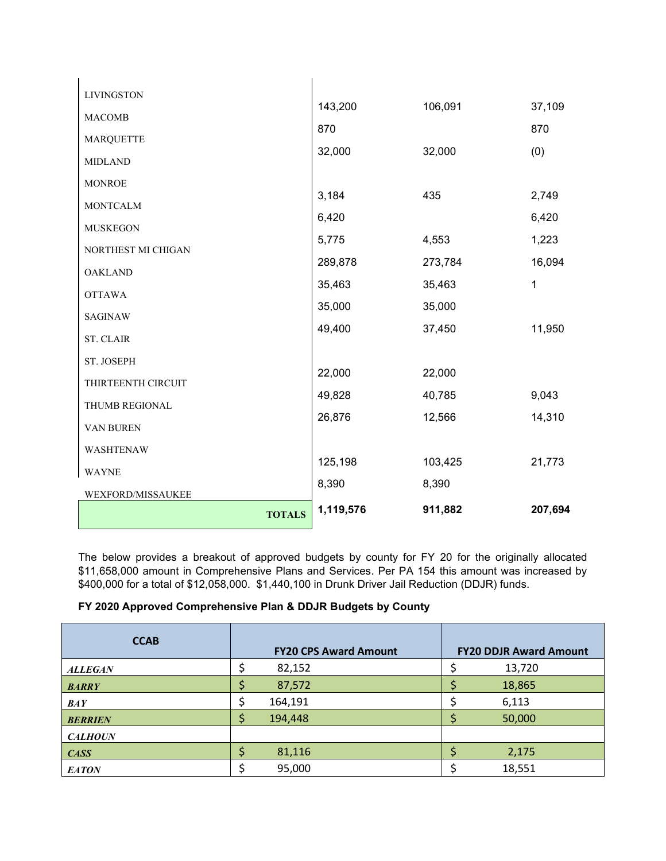|                    | <b>TOTALS</b> | 1,119,576 | 911,882 | 207,694 |
|--------------------|---------------|-----------|---------|---------|
| WEXFORD/MISSAUKEE  |               | 8,390     | 8,390   |         |
| <b>WAYNE</b>       |               | 125,198   | 103,425 | 21,773  |
| WASHTENAW          |               |           |         |         |
| VAN BUREN          |               | 26,876    | 12,566  | 14,310  |
| THUMB REGIONAL     |               | 49,828    | 40,785  | 9,043   |
| THIRTEENTH CIRCUIT |               | 22,000    | 22,000  |         |
| ST. JOSEPH         |               |           |         |         |
| <b>ST. CLAIR</b>   |               | 49,400    | 37,450  | 11,950  |
| <b>SAGINAW</b>     |               | 35,000    | 35,000  |         |
| <b>OTTAWA</b>      |               | 35,463    | 35,463  | 1       |
| <b>OAKLAND</b>     |               | 289,878   | 273,784 | 16,094  |
| NORTHEST MI CHIGAN |               | 5,775     | 4,553   | 1,223   |
| <b>MUSKEGON</b>    |               | 6,420     |         | 6,420   |
| <b>MONTCALM</b>    |               | 3,184     | 435     | 2,749   |
| <b>MONROE</b>      |               |           |         |         |
| <b>MIDLAND</b>     |               | 32,000    | 32,000  | (0)     |
| <b>MARQUETTE</b>   |               | 870       |         | 870     |
| <b>MACOMB</b>      |               | 143,200   | 106,091 | 37,109  |
| <b>LIVINGSTON</b>  |               |           |         |         |

The below provides a breakout of approved budgets by county for FY 20 for the originally allocated \$11,658,000 amount in Comprehensive Plans and Services. Per PA 154 this amount was increased by \$400,000 for a total of \$12,058,000. \$1,440,100 in Drunk Driver Jail Reduction (DDJR) funds.

## **FY 2020 Approved Comprehensive Plan & DDJR Budgets by County**

| <b>CCAB</b>    | <b>FY20 CPS Award Amount</b> | <b>FY20 DDJR Award Amount</b> |
|----------------|------------------------------|-------------------------------|
| <b>ALLEGAN</b> | 82,152                       | 13,720                        |
| <b>BARRY</b>   | 87,572                       | 18,865                        |
| <b>BAY</b>     | 164,191                      | 6,113                         |
| <b>BERRIEN</b> | 194,448                      | 50,000                        |
| <b>CALHOUN</b> |                              |                               |
| <b>CASS</b>    | 81,116                       | 2,175                         |
| <b>EATON</b>   | 95,000                       | 18,551                        |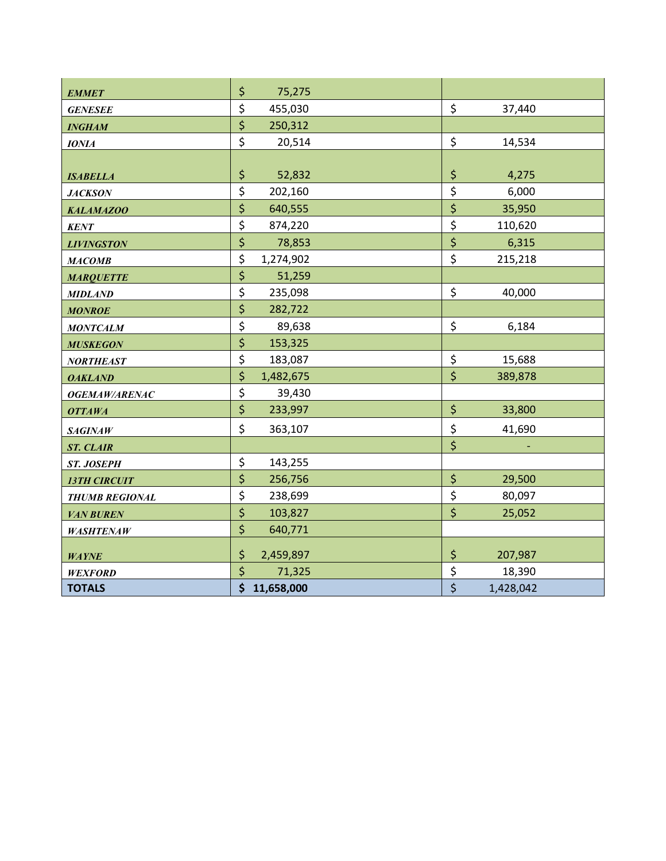| <b>EMMET</b>          | \$<br>75,275       |                                 |
|-----------------------|--------------------|---------------------------------|
| <b>GENESEE</b>        | \$<br>455,030      | \$<br>37,440                    |
| <b>INGHAM</b>         | \$<br>250,312      |                                 |
| <b>IONIA</b>          | \$<br>20,514       | \$<br>14,534                    |
|                       |                    |                                 |
| <b>ISABELLA</b>       | \$<br>52,832       | \$<br>4,275                     |
| <b>JACKSON</b>        | \$<br>202,160      | \$<br>6,000                     |
| <b>KALAMAZOO</b>      | \$<br>640,555      | \$<br>35,950                    |
| <b>KENT</b>           | \$<br>874,220      | \$<br>110,620                   |
| <b>LIVINGSTON</b>     | \$<br>78,853       | \$<br>6,315                     |
| <b>МАСОМВ</b>         | \$<br>1,274,902    | \$<br>215,218                   |
| <b>MARQUETTE</b>      | \$<br>51,259       |                                 |
| <b>MIDLAND</b>        | \$<br>235,098      | \$<br>40,000                    |
| <b>MONROE</b>         | $\zeta$<br>282,722 |                                 |
| <b>MONTCALM</b>       | \$<br>89,638       | \$<br>6,184                     |
| <b>MUSKEGON</b>       | \$<br>153,325      |                                 |
| <b>NORTHEAST</b>      | \$<br>183,087      | \$<br>15,688                    |
| <b>OAKLAND</b>        | \$<br>1,482,675    | \$<br>389,878                   |
| OGEMAW/ARENAC         | \$<br>39,430       |                                 |
| <b>OTTAWA</b>         | $\zeta$<br>233,997 | \$<br>33,800                    |
| <b>SAGINAW</b>        | \$<br>363,107      | \$<br>41,690                    |
| <b>ST. CLAIR</b>      |                    | $\overline{\boldsymbol{\zeta}}$ |
| ST. JOSEPH            | \$<br>143,255      |                                 |
| <b>13TH CIRCUIT</b>   | \$<br>256,756      | \$<br>29,500                    |
| <b>THUMB REGIONAL</b> | \$<br>238,699      | \$<br>80,097                    |
| <b>VAN BUREN</b>      | \$<br>103,827      | \$<br>25,052                    |
| <b>WASHTENAW</b>      | \$<br>640,771      |                                 |
| <b>WAYNE</b>          | \$<br>2,459,897    | \$<br>207,987                   |
| <b>WEXFORD</b>        | \$<br>71,325       | \$<br>18,390                    |
| <b>TOTALS</b>         | \$<br>11,658,000   | \$<br>1,428,042                 |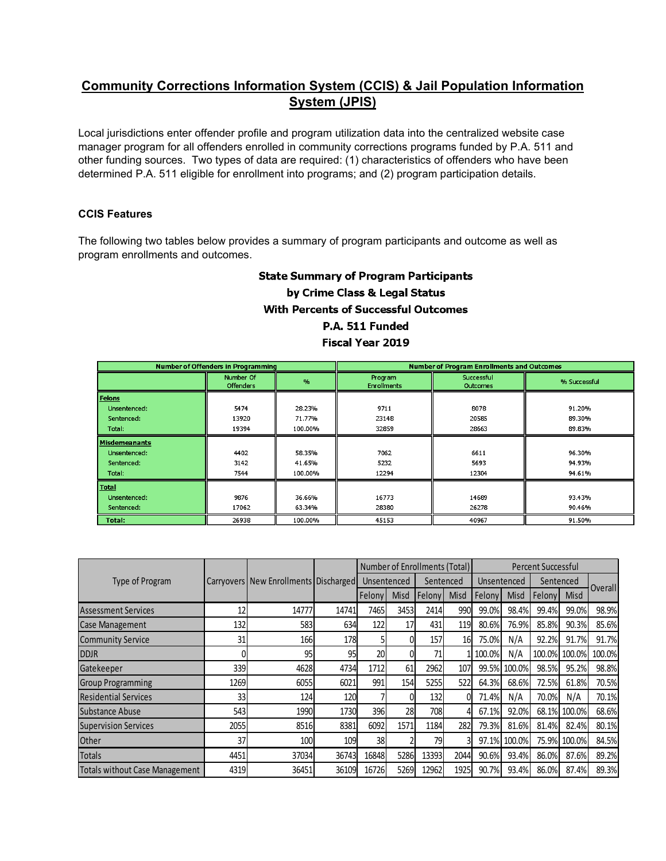# **Community Corrections Information System (CCIS) & Jail Population Information System (JPIS)**

Local jurisdictions enter offender profile and program utilization data into the centralized website case manager program for all offenders enrolled in community corrections programs funded by P.A. 511 and other funding sources. Two types of data are required: (1) characteristics of offenders who have been determined P.A. 511 eligible for enrollment into programs; and (2) program participation details.

#### **CCIS Features**

The following two tables below provides a summary of program participants and outcome as well as program enrollments and outcomes.

# **State Summary of Program Participants** by Crime Class & Legal Status **With Percents of Successful Outcomes** P.A. 511 Funded Fiscal Year 2019

|                      | <b>Number of Offenders in Programming</b> |         |                               | <b>Number of Program Enrollments and Outcomes</b> |              |  |
|----------------------|-------------------------------------------|---------|-------------------------------|---------------------------------------------------|--------------|--|
|                      | Number Of<br><b>Offenders</b>             | 0/2     | Program<br><b>Enrollments</b> | Successful<br><b>Outcomes</b>                     | % Successful |  |
| Felons               |                                           |         |                               |                                                   |              |  |
| Unsentenced:         | 5474                                      | 28.23%  | 9711                          | 8078                                              | 91.20%       |  |
| Sentenced:           | 13920                                     | 71.77%  | 23148                         | 20585                                             | 89.30%       |  |
| Total:               | 19394                                     | 100.00% | 32859                         | 28663                                             | 89.83%       |  |
| <b>Misdemeanants</b> |                                           |         |                               |                                                   |              |  |
| Unsentenced:         | 4402                                      | 58.35%  | 7062                          | 6611                                              | 96.30%       |  |
| Sentenced:           | 3142                                      | 41.65%  | 5232                          | 5693                                              | 94.93%       |  |
| Total:               | 7544                                      | 100.00% | 12294                         | 12304                                             | 94.61%       |  |
| <b>Total</b>         |                                           |         |                               |                                                   |              |  |
| Unsentenced:         | 9876                                      | 36.66%  | 16773                         | 14689                                             | 93.43%       |  |
| Sentenced:           | 17062                                     | 63.34%  | 28380                         | 26278                                             | 90.46%       |  |
| Total:               | 26938                                     | 100.00% | 45153                         | 40967                                             | 91.50%       |  |

|                                       |      |                                       |       |             |             | Number of Enrollments (Total) |             | <b>Percent Successful</b> |              |           |              |                |
|---------------------------------------|------|---------------------------------------|-------|-------------|-------------|-------------------------------|-------------|---------------------------|--------------|-----------|--------------|----------------|
| Type of Program                       |      | Carryovers New Enrollments Discharged |       | Unsentenced |             | Sentenced                     |             | Unsentenced               |              | Sentenced |              |                |
|                                       |      |                                       |       | Felony      | <b>Misd</b> | Felony                        | <b>Misd</b> | Felony                    | <b>Misd</b>  | Felony    | Misd         | <b>Overall</b> |
| <b>Assessment Services</b>            | 12   | 14777                                 | 14741 | 74651       | 3453        | 2414                          | 990         | 99.0%                     | 98.4%        | 99.4%     | 99.0%        | 98.9%          |
| <b>Case Management</b>                | 132  | 583                                   | 634   | 122         | 17          | 431                           | 119         | 80.6%                     | 76.9%l       | 85.8%     | 90.3%        | 85.6%          |
| <b>Community Service</b>              | 31   | 166                                   | 178   | 51          | 01          | 157                           | 16          | 75.0%                     | N/A          | 92.2%     | 91.7%        | 91.7%          |
| <b>DDJR</b>                           |      | 95                                    | 95    | 20          | 0           | 71                            |             | 100.0%                    | N/A          | 100.0%    | 100.0%       | 100.0%         |
| Gatekeeper                            | 339  | 4628                                  | 4734  | 1712        | 61          | 2962                          | 107         | 99.5%                     | 100.0%       | 98.5%     | 95.2%        | 98.8%          |
| <b>Group Programming</b>              | 1269 | 6055                                  | 6021  | 991         | 154         | 5255                          | 522         | 64.3%                     | 68.6%        | 72.5%     | 61.8%        | 70.5%          |
| <b>Residential Services</b>           | 33   | 124                                   | 120   |             | 0           | 132                           |             | 71.4%                     | N/A          | 70.0%     | N/A          | 70.1%          |
| Substance Abuse                       | 543  | 1990                                  | 1730  | 396I        | 28          | 708                           |             | 67.1%                     | 92.0%        |           | 68.1% 100.0% | 68.6%          |
| <b>Supervision Services</b>           | 2055 | 8516                                  | 8381  | 6092        | 1571        | 1184                          | 282         | 79.3%                     | 81.6%        | 81.4%     | 82.4%        | 80.1%          |
| Other                                 | 37   | 100                                   | 109   | 38          |             | 79                            |             |                           | 97.1% 100.0% |           | 75.9% 100.0% | 84.5%          |
| <b>Totals</b>                         | 4451 | 37034                                 | 36743 | 16848       | 5286        | 13393                         | 2044        | 90.6%                     | 93.4%        | 86.0%     | 87.6%        | 89.2%          |
| <b>Totals without Case Management</b> | 4319 | 36451                                 | 36109 | 16726       | 5269        | 12962                         | 1925        | 90.7%                     | 93.4%        | 86.0%     | 87.4%        | 89.3%          |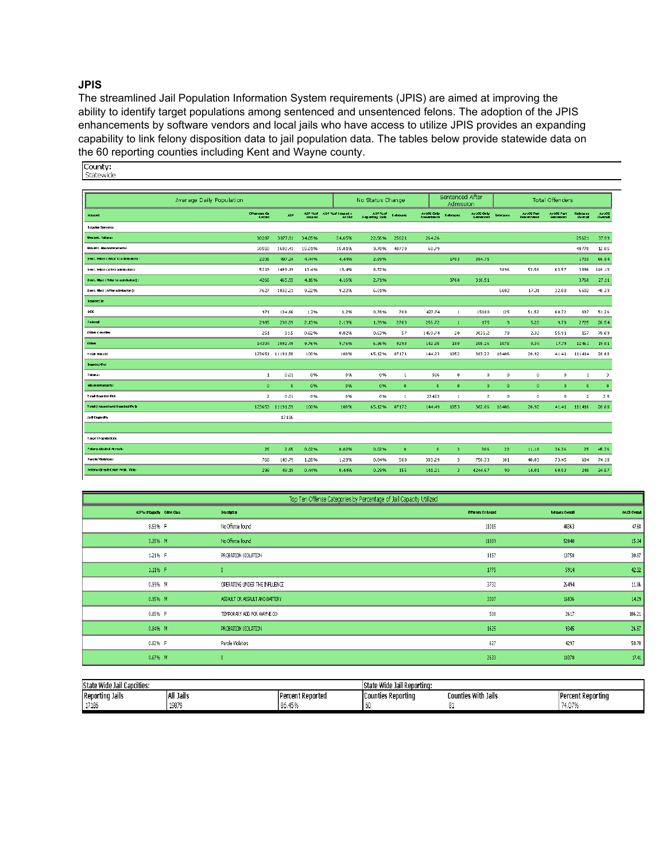#### **JPIS**

The streamlined Jail Population Information System requirements (JPIS) are aimed at improving the ability to identify target populations among sentenced and unsentenced felons. The adoption of the JPIS enhancements by software vendors and local jails who have access to utilize JPIS provides an expanding capability to link felony disposition data to jail population data. The tables below provide statewide data on the 60 reporting counties including Kent and Wayne county.<br>
Statewide<br>
Statewide

|                                    | Average Daily Population |                 |                   |                            | No Status Change            |              |                           |              | Sentenced After<br>Admission   |                      |                                         | <b>Total Offenders</b>  |                     |                  |
|------------------------------------|--------------------------|-----------------|-------------------|----------------------------|-----------------------------|--------------|---------------------------|--------------|--------------------------------|----------------------|-----------------------------------------|-------------------------|---------------------|------------------|
| Housed                             | Offenders On<br>Record   | <b>ADP</b>      | ADP %of<br>Housed | ADP %of Housed +<br>8d Out | ADP % of<br>Reporting Jalis | Releases     | AVLOS Only<br>Presentance | Reference    | AvLOS Only<br>Sentenced        | Refeases             | <b>AvLOS Part</b><br><b>Presentence</b> | AVLCS Part<br>Sentenced | Referees<br>Overall | AVLOS<br>Overall |
| <b>Regular Immates</b>             |                          |                 |                   |                            |                             |              |                           |              |                                |                      |                                         |                         |                     |                  |
| Uncent, Felens:                    | 30287                    | 3877.91         | 34.65%            | 34.65%                     | 22.56%                      | 25621        | 264.26                    |              |                                |                      |                                         |                         | 25621               | 37.99            |
| Unsent, Nisdemeanants:             | 50550                    | 1680.41         | 15.01%            | 15.01%                     | 9.78%                       | 48770        | 68.79                     |              |                                |                      |                                         |                         | 48770               | 12.05            |
| Sent. Felion ( Prior to admission) | 2205                     | 497.24          | 4,44%             | 4.44%                      | 2.89%                       |              |                           | 1703         | 384.75                         |                      |                                         |                         | 1703                | 66.84            |
| Sent. Felon (After admission):     | 5219                     | 1499.19         | 13.4%             | 13.4%                      | 8.72%                       |              |                           |              |                                | 3896                 | 53.56                                   | 63.57                   | 3896                | 116.13           |
| Sent. Nisd ( Prior to admission) : | 4266                     | 465.93          | 4.16%             | 4.16%                      | 2.71%                       |              |                           | 3768         | 310.51                         |                      |                                         |                         | 3768                | 27.11            |
| Sent. Nisd (After admission):      | 7627                     | 1032.21         | 9.22%             | 9.22%                      | 6.01%                       |              |                           |              |                                | 6602                 | 17.31                                   | 32.08                   | 6602                | 48.39            |
| Boarded In                         |                          |                 |                   |                            |                             |              |                           |              |                                |                      |                                         |                         |                     |                  |
| DOC                                | 971                      | 134.66          | 1.2%              | 1.2%                       | 0.78%                       | 708          | 427.74                    |              | $\mathbf{1}$<br>15180          | 125                  | 51.52                                   | 60.72                   | 837                 | 51.26            |
| Federal                            | 2985                     | 238.59          | 2.13%             | 2.13%                      | 1.39%                       | 2703         | 256.72                    |              | 175<br>$\mathbf{1}$            | -9                   | 5.22                                    | 9.78                    | 2725                | 26.54            |
| Other Counties                     | 251                      | 91.5            | 0.82%             | 0.82%                      | 0.53%                       | 57           | 1469.74                   |              | 20<br>3035.2                   | 78                   | 2.32                                    | 55.91                   | 157                 | 78.09            |
| Other                              | 14304                    | 1092.49         | 9.76%             | 9.76%                      | 6.36%                       | 9298         | 142.35                    | 180          | 205.26                         | 1075                 | 8.34                                    | 17.79                   | 12461               | 19.01            |
| <b>Total Housed</b>                |                          | 123651 11191.58 | 100%              | 100%                       | 65.12%                      | 87171        | 144.23                    | 1052         | 383.22                         | 16406                | 20.92                                   | 41.41                   | 111414              | 28.68            |
| Boarded Out                        |                          |                 |                   |                            |                             |              |                           |              |                                |                      |                                         |                         |                     |                  |
| Felons:                            | $\mathbf{1}$             | 0.01            | 0%                | 0%                         | 0%                          | 1            |                           | 986          | 0<br>$\theta$                  | $\theta$             | $\theta$                                | $\theta$                | $\mathbf{1}$        | 3                |
| Nikdemeanants:                     | $\mathbf{0}$             | $\mathbf{0}$    | 0%                | 0%                         | 0%                          | $\mathbf{0}$ |                           | $\theta$     | $\mathbf{0}$<br>$\theta$       | $\mathbf{0}$         | $\mathbf{0}$                            | $\mathbf{0}$            | $\mathbf{0}$        | $\mathbf{0}$     |
| <b>Total Boarded Out:</b>          | $\overline{2}$           | 0.01            | 0%                | 0%                         | 0%                          | $\mathbf{1}$ | 23423                     |              | $\overline{2}$<br>$\mathbf{1}$ | $\ddot{\phantom{0}}$ | $\mathbf{0}$                            | $\theta$                | $\overline{2}$      | 2.5              |
| Total (Housed and Boarded Out):    |                          | 123653 11191.59 | 100%              | 100%                       | 65.12%                      | 87172        | 144.49                    | 1053         | 382.86                         | 16406                | 20.92                                   | 41.41                   | 111416              | 28.68            |
| Jal Camely                         |                          | 17186           |                   |                            |                             |              |                           |              |                                |                      |                                         |                         |                     |                  |
|                                    |                          |                 |                   |                            |                             |              |                           |              |                                |                      |                                         |                         |                     |                  |
| Target Papulations                 |                          |                 |                   |                            |                             |              |                           |              |                                |                      |                                         |                         |                     |                  |
| Felony Alcohol Arrests:            | 25                       | 2.65            | 0.02%             | 0.02%                      | 0.02%                       | $\mathbf{0}$ |                           | $\mathbf{0}$ | 3<br>306                       | 22                   | 11.18                                   | 36.36                   | 25                  | 45.76            |
| Parolic Vilolators:                | 768                      | 143.79          | 1.28%             | 1,28%                      | 0.84%                       | 500          | 383.29                    |              | 3<br>756.33                    | 101                  | 40.83                                   | 73.45                   | 604                 | 74.18            |
| Felony Circuit Court Prob. Vicis:  | 298                      | 49.19           | 0.44%             | 0.44%                      | 0.29%                       | 155          | 141.21                    |              | 3<br>4244.67                   | 90                   | 14.01                                   | 60.03                   | 248                 | 34.57            |
|                                    |                          |                 |                   |                            |                             |              |                           |              |                                |                      |                                         |                         |                     |                  |

|                              | Top Ten Offense Categories by Percentage of Jail Capacity Utilized |                     |                         |               |
|------------------------------|--------------------------------------------------------------------|---------------------|-------------------------|---------------|
| ADP% of Capacity Crime Class | Description                                                        | Offenders On Record | <b>Releases Overall</b> | AviOS Overall |
| 8.53% F                      | No Offense found                                                   | 11015               | 44363                   | 47.68         |
| 3.35% M                      | No Offense found                                                   | 11809               | 52040                   | 15.34         |
| 1.21% F                      | PROBATION VIOLATION                                                | 1157                | 13758                   | 30.87         |
| 1.11% F                      |                                                                    | 1775                | 5914                    | 42.32         |
| 0.99% M                      | OPERATING UNDER THE INFLUENCE                                      | 3732                | 26494                   | 11.86         |
| 0.95% M                      | ASSAULT OR ASSAULT AND BATTERY                                     | 3307                | 16836                   | 14.29         |
| 0.85% F                      | TEMPORARY ADD FOR WAYNE CO                                         | 500                 | 2617                    | 106.21        |
| 0.84% M                      | PROBATION VIOLATION                                                | 1625                | 9345                    | 26.57         |
| 0.82% F                      | Parole Violators                                                   | 627                 | 4297                    | 58.78         |
| 0.67% M                      |                                                                    | 2633                | 10370                   | 17.41         |

| <b>IState Wide Jail Capcities:</b> |              |                                         | e Wide Jail Reporting:<br>lState |                    |                          |  |  |  |  |
|------------------------------------|--------------|-----------------------------------------|----------------------------------|--------------------|--------------------------|--|--|--|--|
| Reporting Jails                    | iai<br>Jails | Percent Reported                        | Reporting<br><b>TCounties</b>    | ounties With Jails | <b>Percent Reporting</b> |  |  |  |  |
| 17104<br>-17186                    | 19879        | 40.01<br>$\sim$ $\sim$<br>- 40 %<br>ou, | ים י                             |                    | 74.07%                   |  |  |  |  |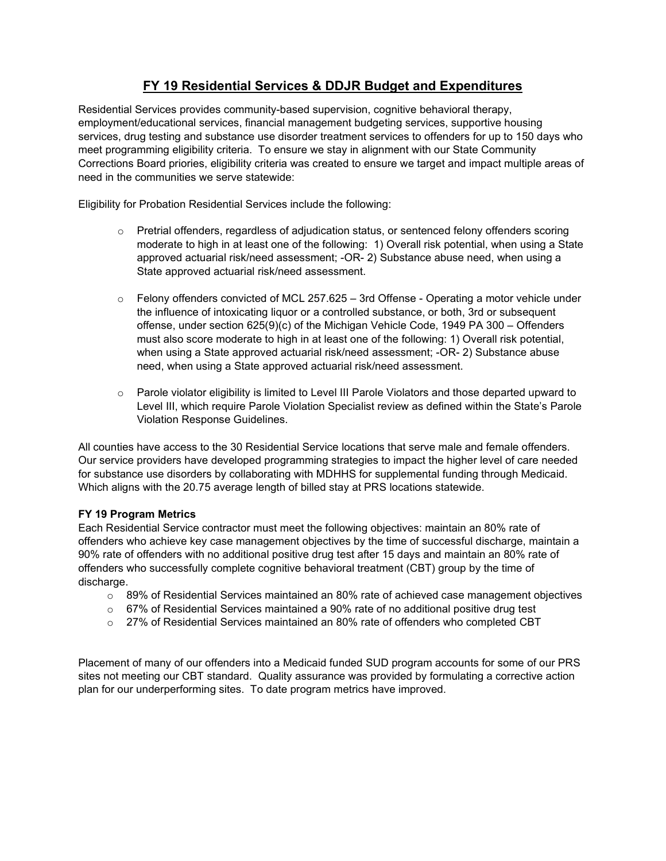# **FY 19 Residential Services & DDJR Budget and Expenditures**

Residential Services provides community-based supervision, cognitive behavioral therapy, employment/educational services, financial management budgeting services, supportive housing services, drug testing and substance use disorder treatment services to offenders for up to 150 days who meet programming eligibility criteria. To ensure we stay in alignment with our State Community Corrections Board priories, eligibility criteria was created to ensure we target and impact multiple areas of need in the communities we serve statewide:

Eligibility for Probation Residential Services include the following:

- $\circ$  Pretrial offenders, regardless of adjudication status, or sentenced felony offenders scoring moderate to high in at least one of the following: 1) Overall risk potential, when using a State approved actuarial risk/need assessment; -OR- 2) Substance abuse need, when using a State approved actuarial risk/need assessment.
- $\circ$  Felony offenders convicted of MCL 257.625 3rd Offense Operating a motor vehicle under the influence of intoxicating liquor or a controlled substance, or both, 3rd or subsequent offense, under section 625(9)(c) of the Michigan Vehicle Code, 1949 PA 300 – Offenders must also score moderate to high in at least one of the following: 1) Overall risk potential, when using a State approved actuarial risk/need assessment; -OR- 2) Substance abuse need, when using a State approved actuarial risk/need assessment.
- $\circ$  Parole violator eligibility is limited to Level III Parole Violators and those departed upward to Level III, which require Parole Violation Specialist review as defined within the State's Parole Violation Response Guidelines.

All counties have access to the 30 Residential Service locations that serve male and female offenders. Our service providers have developed programming strategies to impact the higher level of care needed for substance use disorders by collaborating with MDHHS for supplemental funding through Medicaid. Which aligns with the 20.75 average length of billed stay at PRS locations statewide.

#### **FY 19 Program Metrics**

Each Residential Service contractor must meet the following objectives: maintain an 80% rate of offenders who achieve key case management objectives by the time of successful discharge, maintain a 90% rate of offenders with no additional positive drug test after 15 days and maintain an 80% rate of offenders who successfully complete cognitive behavioral treatment (CBT) group by the time of discharge.

- o 89% of Residential Services maintained an 80% rate of achieved case management objectives
- o 67% of Residential Services maintained a 90% rate of no additional positive drug test
- $\circ$  27% of Residential Services maintained an 80% rate of offenders who completed CBT

Placement of many of our offenders into a Medicaid funded SUD program accounts for some of our PRS sites not meeting our CBT standard. Quality assurance was provided by formulating a corrective action plan for our underperforming sites. To date program metrics have improved.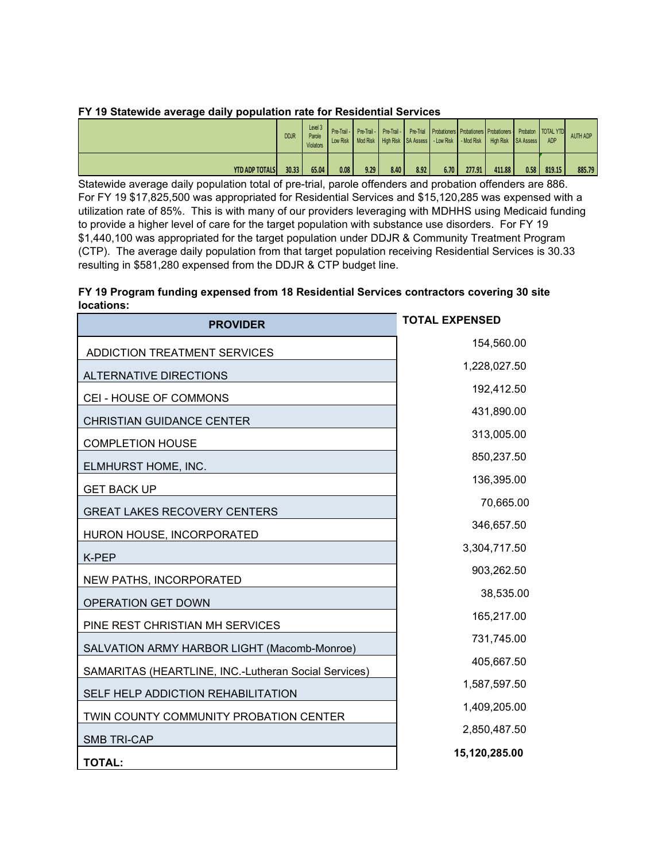| FY 19 Statewide average daily population rate for Residential Services |  |
|------------------------------------------------------------------------|--|
|------------------------------------------------------------------------|--|

|                       | <b>DDJR</b> | Level 3<br>Parole<br><b>Violators</b> |      |      |      |      |      |        | Pre-Trail -   Pre-Trail -   Pre-Trail -   Pre-Trial   Probationers   Probationers   Probationers   Probaton   TOTAL YTD<br>Low Risk   Mcd Risk   High Risk   SA Assess   - Low Risk   - Mod Risk   High Risk   SA Assess |      | <b>ADP</b> | <b>AUTH ADP</b> |
|-----------------------|-------------|---------------------------------------|------|------|------|------|------|--------|--------------------------------------------------------------------------------------------------------------------------------------------------------------------------------------------------------------------------|------|------------|-----------------|
| <b>YTD ADP TOTALS</b> | 30.33       | 65.04                                 | 0.08 | 9.29 | 8.40 | 8.92 | 6.70 | 277.91 | 411.88                                                                                                                                                                                                                   | 0.58 | 819.15     | 885.79          |

Statewide average daily population total of pre-trial, parole offenders and probation offenders are 886. For FY 19 \$17,825,500 was appropriated for Residential Services and \$15,120,285 was expensed with a utilization rate of 85%. This is with many of our providers leveraging with MDHHS using Medicaid funding to provide a higher level of care for the target population with substance use disorders. For FY 19 \$1,440,100 was appropriated for the target population under DDJR & Community Treatment Program (CTP). The average daily population from that target population receiving Residential Services is 30.33 resulting in \$581,280 expensed from the DDJR & CTP budget line.

#### **FY 19 Program funding expensed from 18 Residential Services contractors covering 30 site locations:**

| <b>PROVIDER</b>                                      | <b>TOTAL EXPENSED</b> |
|------------------------------------------------------|-----------------------|
| ADDICTION TREATMENT SERVICES                         | 154,560.00            |
| <b>ALTERNATIVE DIRECTIONS</b>                        | 1,228,027.50          |
| CEI - HOUSE OF COMMONS                               | 192,412.50            |
| <b>CHRISTIAN GUIDANCE CENTER</b>                     | 431,890.00            |
| <b>COMPLETION HOUSE</b>                              | 313,005.00            |
| ELMHURST HOME, INC.                                  | 850,237.50            |
| <b>GET BACK UP</b>                                   | 136,395.00            |
| <b>GREAT LAKES RECOVERY CENTERS</b>                  | 70,665.00             |
| HURON HOUSE, INCORPORATED                            | 346,657.50            |
| K-PEP                                                | 3,304,717.50          |
| NEW PATHS, INCORPORATED                              | 903,262.50            |
| <b>OPERATION GET DOWN</b>                            | 38,535.00             |
| PINE REST CHRISTIAN MH SERVICES                      | 165,217.00            |
| SALVATION ARMY HARBOR LIGHT (Macomb-Monroe)          | 731,745.00            |
| SAMARITAS (HEARTLINE, INC.-Lutheran Social Services) | 405,667.50            |
| SELF HELP ADDICTION REHABILITATION                   | 1,587,597.50          |
| TWIN COUNTY COMMUNITY PROBATION CENTER               | 1,409,205.00          |
| <b>SMB TRI-CAP</b>                                   | 2,850,487.50          |
| <b>TOTAL:</b>                                        | 15,120,285.00         |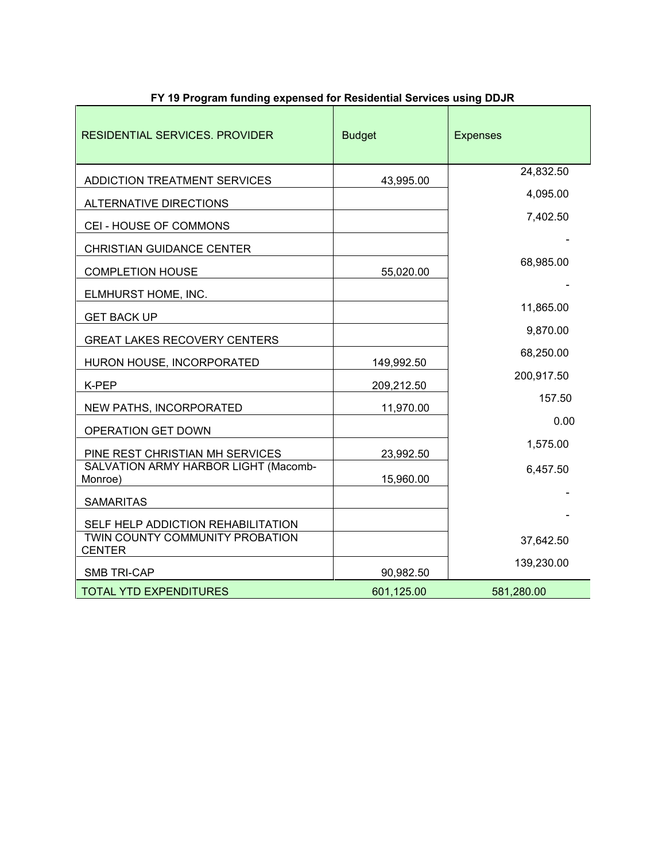| <b>Budget</b> | <b>Expenses</b>                                                                            |
|---------------|--------------------------------------------------------------------------------------------|
| 43,995.00     | 24,832.50                                                                                  |
|               | 4,095.00                                                                                   |
|               | 7,402.50                                                                                   |
|               |                                                                                            |
| 55,020.00     | 68,985.00                                                                                  |
|               |                                                                                            |
|               | 11,865.00                                                                                  |
|               | 9,870.00                                                                                   |
|               | 68,250.00                                                                                  |
|               | 200,917.50                                                                                 |
|               | 157.50                                                                                     |
|               | 0.00                                                                                       |
|               | 1,575.00                                                                                   |
|               | 6,457.50                                                                                   |
|               |                                                                                            |
|               |                                                                                            |
|               | 37,642.50                                                                                  |
|               | 139,230.00                                                                                 |
|               | 581,280.00                                                                                 |
|               | 149,992.50<br>209,212.50<br>11,970.00<br>23,992.50<br>15,960.00<br>90,982.50<br>601,125.00 |

## **FY 19 Program funding expensed for Residential Services using DDJR**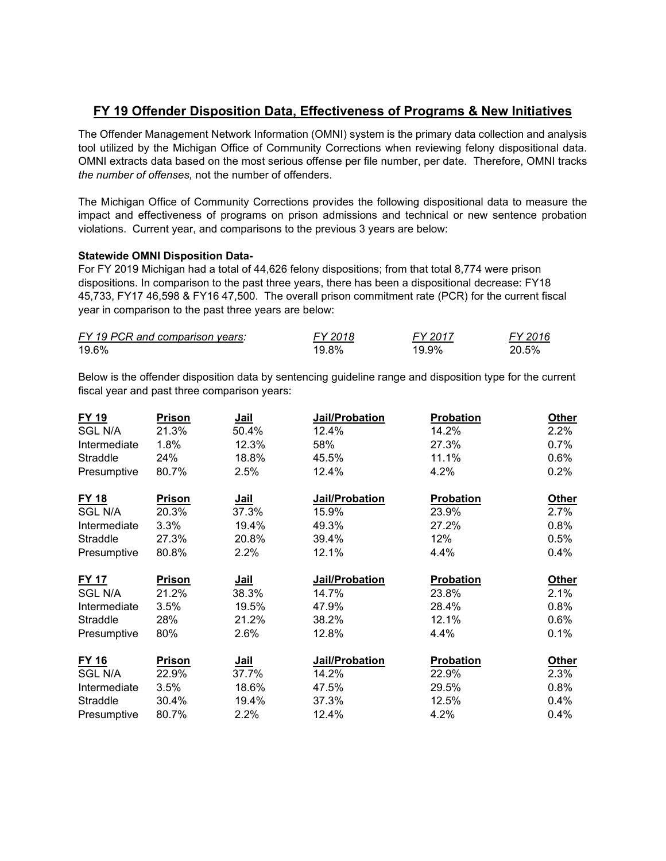# **FY 19 Offender Disposition Data, Effectiveness of Programs & New Initiatives**

The Offender Management Network Information (OMNI) system is the primary data collection and analysis tool utilized by the Michigan Office of Community Corrections when reviewing felony dispositional data. OMNI extracts data based on the most serious offense per file number, per date. Therefore, OMNI tracks *the number of offenses,* not the number of offenders.

The Michigan Office of Community Corrections provides the following dispositional data to measure the impact and effectiveness of programs on prison admissions and technical or new sentence probation violations. Current year, and comparisons to the previous 3 years are below:

#### **Statewide OMNI Disposition Data-**

For FY 2019 Michigan had a total of 44,626 felony dispositions; from that total 8,774 were prison dispositions. In comparison to the past three years, there has been a dispositional decrease: FY18 45,733, FY17 46,598 & FY16 47,500. The overall prison commitment rate (PCR) for the current fiscal year in comparison to the past three years are below:

| FY 19 PCR and comparison years: | FY 2018 | FY 2017 | FY 2016 |
|---------------------------------|---------|---------|---------|
| 19.6%                           | 19.8%   | 19.9%   | 20.5%   |

Below is the offender disposition data by sentencing guideline range and disposition type for the current fiscal year and past three comparison years:

| <b>FY 19</b>    | <b>Prison</b> | Jail        | Jail/Probation | Probation        | <b>Other</b> |
|-----------------|---------------|-------------|----------------|------------------|--------------|
| <b>SGL N/A</b>  | 21.3%         | 50.4%       | 12.4%          | 14.2%            | 2.2%         |
| Intermediate    | 1.8%          | 12.3%       | 58%            | 27.3%            | 0.7%         |
| Straddle        | 24%           | 18.8%       | 45.5%          | 11.1%            | 0.6%         |
| Presumptive     | 80.7%         | 2.5%        | 12.4%          | 4.2%             | 0.2%         |
| <b>FY 18</b>    | <b>Prison</b> | <u>Jail</u> | Jail/Probation | <b>Probation</b> | <b>Other</b> |
| <b>SGL N/A</b>  | 20.3%         | 37.3%       | 15.9%          | 23.9%            | 2.7%         |
| Intermediate    | 3.3%          | 19.4%       | 49.3%          | 27.2%            | 0.8%         |
| <b>Straddle</b> | 27.3%         | 20.8%       | 39.4%          | 12%              | 0.5%         |
| Presumptive     | 80.8%         | 2.2%        | 12.1%          | 4.4%             | 0.4%         |
| <b>FY 17</b>    | Prison        | <u>Jail</u> | Jail/Probation | Probation        | <b>Other</b> |
| <b>SGL N/A</b>  | 21.2%         | 38.3%       | 14.7%          | 23.8%            | 2.1%         |
| Intermediate    | 3.5%          | 19.5%       | 47.9%          | 28.4%            | 0.8%         |
| Straddle        | 28%           | 21.2%       | 38.2%          | 12.1%            | 0.6%         |
| Presumptive     | 80%           | 2.6%        | 12.8%          | 4.4%             | 0.1%         |
| <b>FY 16</b>    | Prison        | Jail        | Jail/Probation | Probation        | <b>Other</b> |
| <b>SGL N/A</b>  | 22.9%         | 37.7%       | 14.2%          | 22.9%            | 2.3%         |
| Intermediate    | 3.5%          | 18.6%       | 47.5%          | 29.5%            | 0.8%         |
| Straddle        | 30.4%         | 19.4%       | 37.3%          | 12.5%            | 0.4%         |
| Presumptive     | 80.7%         | 2.2%        | 12.4%          | 4.2%             | 0.4%         |